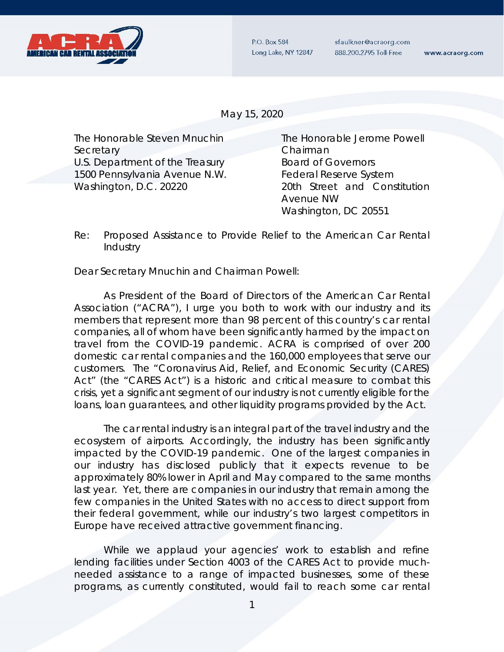

P.O. Box 584 Long Lake, NY 12847 sfaulkner@acraorg.com 888.200.2795 Toll-Free

www.acraorg.com

May 15, 2020

The Honorable Steven Mnuchin The Honorable Jerome Powell Secretary **Chairman** U.S. Department of the Treasury **Board of Governors** 1500 Pennsylvania Avenue N.W.<br>Federal Reserve System Washington, D.C. 20220 20th Street and Constitution

Avenue NW Washington, DC 20551

## Re: Proposed Assistance to Provide Relief to the American Car Rental Industry

Dear Secretary Mnuchin and Chairman Powell:

As President of the Board of Directors of the American Car Rental Association ("ACRA"), I urge you both to work with our industry and its members that represent more than 98 percent of this country's car rental companies, all of whom have been significantly harmed by the impact on travel from the COVID-19 pandemic. ACRA is comprised of over 200 domestic car rental companies and the 160,000 employees that serve our customers. The "Coronavirus Aid, Relief, and Economic Security (CARES) Act" (the "CARES Act") is a historic and critical measure to combat this crisis, yet a significant segment of our industry is not currently eligible for the loans, loan guarantees, and other liquidity programs provided by the Act.

The car rental industry is an integral part of the travel industry and the ecosystem of airports. Accordingly, the industry has been significantly impacted by the COVID-19 pandemic. One of the largest companies in our industry has disclosed publicly that it expects revenue to be approximately 80% lower in April and May compared to the same months last year. Yet, there are companies in our industry that remain among the few companies in the United States with no access to direct support from their federal government, while our industry's two largest competitors in Europe have received attractive government financing.

While we applaud your agencies' work to establish and refine lending facilities under Section 4003 of the CARES Act to provide muchneeded assistance to a range of impacted businesses, some of these programs, as currently constituted, would fail to reach some car rental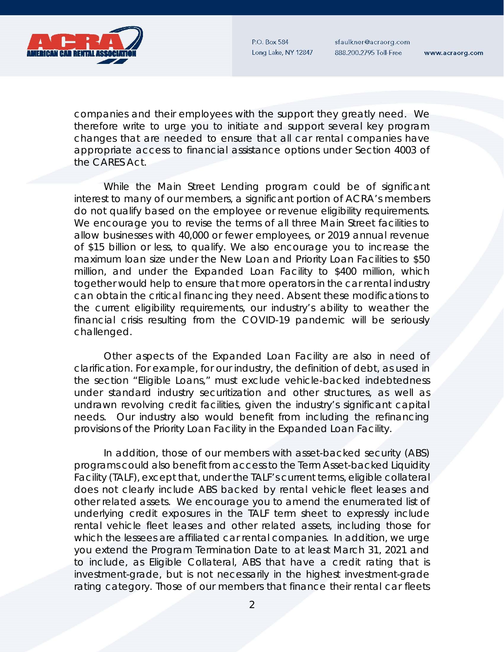P.O. Box 584 Long Lake, NY 12847 sfaulkner@acraorg.com 888.200.2795 Toll-Free

www.acraorg.com



companies and their employees with the support they greatly need. We therefore write to urge you to initiate and support several key program changes that are needed to ensure that all car rental companies have appropriate access to financial assistance options under Section 4003 of the CARES Act.

While the Main Street Lending program could be of significant interest to many of our members, a significant portion of ACRA's members do not qualify based on the employee or revenue eligibility requirements. We encourage you to revise the terms of all three Main Street facilities to allow businesses with 40,000 or fewer employees, or 2019 annual revenue of \$15 billion or less, to qualify. We also encourage you to increase the maximum loan size under the New Loan and Priority Loan Facilities to \$50 million, and under the Expanded Loan Facility to \$400 million, which together would help to ensure that more operators in the car rental industry can obtain the critical financing they need. Absent these modifications to the current eligibility requirements, our industry's ability to weather the financial crisis resulting from the COVID-19 pandemic will be seriously challenged.

Other aspects of the Expanded Loan Facility are also in need of clarification. For example, for our industry, the definition of debt, as used in the section "Eligible Loans," must exclude vehicle-backed indebtedness under standard industry securitization and other structures, as well as undrawn revolving credit facilities, given the industry's significant capital needs. Our industry also would benefit from including the refinancing provisions of the Priority Loan Facility in the Expanded Loan Facility.

In addition, those of our members with asset-backed security (ABS) programs could also benefit from access to the Term Asset-backed Liquidity Facility (TALF), except that, under the TALF's current terms, eligible collateral does not clearly include ABS backed by rental vehicle fleet leases and other related assets. We encourage you to amend the enumerated list of underlying credit exposures in the TALF term sheet to expressly include rental vehicle fleet leases and other related assets, including those for which the lessees are affiliated car rental companies. In addition, we urge you extend the Program Termination Date to at least March 31, 2021 and to include, as Eligible Collateral, ABS that have a credit rating that is investment-grade, but is not necessarily in the highest investment-grade rating category. Those of our members that finance their rental car fleets